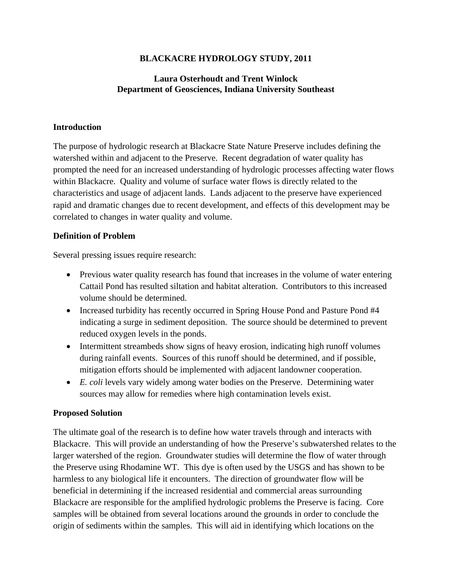# **BLACKACRE HYDROLOGY STUDY, 2011**

# **Laura Osterhoudt and Trent Winlock Department of Geosciences, Indiana University Southeast**

#### **Introduction**

The purpose of hydrologic research at Blackacre State Nature Preserve includes defining the watershed within and adjacent to the Preserve. Recent degradation of water quality has prompted the need for an increased understanding of hydrologic processes affecting water flows within Blackacre. Quality and volume of surface water flows is directly related to the characteristics and usage of adjacent lands. Lands adjacent to the preserve have experienced rapid and dramatic changes due to recent development, and effects of this development may be correlated to changes in water quality and volume.

## **Definition of Problem**

Several pressing issues require research:

- Previous water quality research has found that increases in the volume of water entering Cattail Pond has resulted siltation and habitat alteration. Contributors to this increased volume should be determined.
- Increased turbidity has recently occurred in Spring House Pond and Pasture Pond #4 indicating a surge in sediment deposition. The source should be determined to prevent reduced oxygen levels in the ponds.
- Intermittent streambeds show signs of heavy erosion, indicating high runoff volumes during rainfall events. Sources of this runoff should be determined, and if possible, mitigation efforts should be implemented with adjacent landowner cooperation.
- *E. coli* levels vary widely among water bodies on the Preserve. Determining water sources may allow for remedies where high contamination levels exist.

## **Proposed Solution**

The ultimate goal of the research is to define how water travels through and interacts with Blackacre. This will provide an understanding of how the Preserve's subwatershed relates to the larger watershed of the region. Groundwater studies will determine the flow of water through the Preserve using Rhodamine WT. This dye is often used by the USGS and has shown to be harmless to any biological life it encounters. The direction of groundwater flow will be beneficial in determining if the increased residential and commercial areas surrounding Blackacre are responsible for the amplified hydrologic problems the Preserve is facing. Core samples will be obtained from several locations around the grounds in order to conclude the origin of sediments within the samples. This will aid in identifying which locations on the